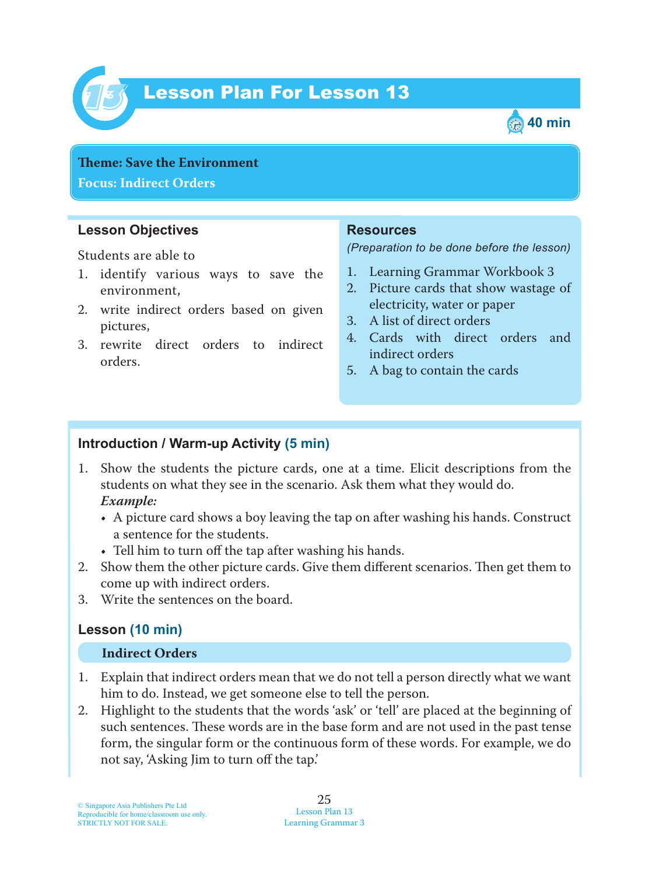

# Lesson Plan For Lesson 13 *13*



**Theme: Save the Environment Focus: Indirect Orders**

#### **Lesson Objectives**

Students are able to

- 1. identify various ways to save the environment,
- 2. write indirect orders based on given pictures,
- 3. rewrite direct orders to indirect orders.

#### **Resources**

*(Preparation to be done before the lesson)*

- 1. Learning Grammar Workbook 3
- 2. Picture cards that show wastage of electricity, water or paper
- 3. A list of direct orders
- 4. Cards with direct orders and indirect orders
- 5. A bag to contain the cards

#### **Introduction / Warm-up Activity (5 min)**

- 1. Show the students the picture cards, one at a time. Elicit descriptions from the students on what they see in the scenario. Ask them what they would do.  *Example:*
	- A picture card shows a boy leaving the tap on after washing his hands. Construct a sentence for the students.
	- Tell him to turn off the tap after washing his hands.
- 2. Show them the other picture cards. Give them different scenarios. Then get them to come up with indirect orders.
- 3. Write the sentences on the board.

#### **Lesson (10 min)**

#### **Indirect Orders**

- 1. Explain that indirect orders mean that we do not tell a person directly what we want him to do. Instead, we get someone else to tell the person.
- 2. Highlight to the students that the words 'ask' or 'tell' are placed at the beginning of such sentences. These words are in the base form and are not used in the past tense form, the singular form or the continuous form of these words. For example, we do not say, 'Asking Jim to turn off the tap.'